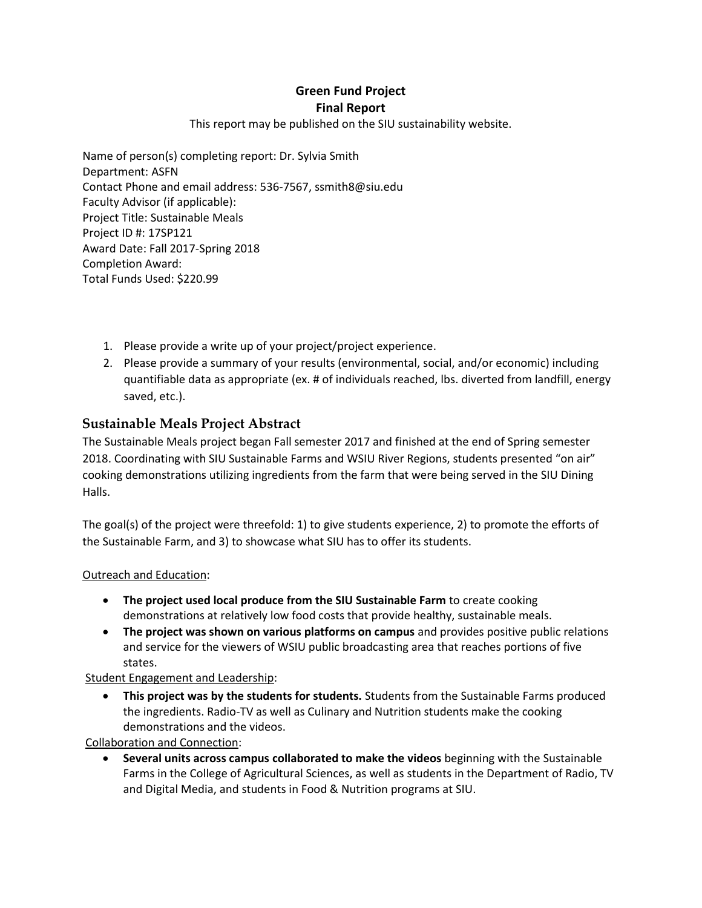# **Green Fund Project Final Report**

#### This report may be published on the SIU sustainability website.

Name of person(s) completing report: Dr. Sylvia Smith Department: ASFN Contact Phone and email address: 536-7567, ssmith8@siu.edu Faculty Advisor (if applicable): Project Title: Sustainable Meals Project ID #: 17SP121 Award Date: Fall 2017-Spring 2018 Completion Award: Total Funds Used: \$220.99

- 1. Please provide a write up of your project/project experience.
- 2. Please provide a summary of your results (environmental, social, and/or economic) including quantifiable data as appropriate (ex. # of individuals reached, lbs. diverted from landfill, energy saved, etc.).

## **Sustainable Meals Project Abstract**

The Sustainable Meals project began Fall semester 2017 and finished at the end of Spring semester 2018. Coordinating with SIU Sustainable Farms and WSIU River Regions, students presented "on air" cooking demonstrations utilizing ingredients from the farm that were being served in the SIU Dining Halls.

The goal(s) of the project were threefold: 1) to give students experience, 2) to promote the efforts of the Sustainable Farm, and 3) to showcase what SIU has to offer its students.

## Outreach and Education:

- **The project used local produce from the SIU Sustainable Farm** to create cooking demonstrations at relatively low food costs that provide healthy, sustainable meals.
- **The project was shown on various platforms on campus** and provides positive public relations and service for the viewers of WSIU public broadcasting area that reaches portions of five states.

Student Engagement and Leadership:

 **This project was by the students for students.** Students from the Sustainable Farms produced the ingredients. Radio-TV as well as Culinary and Nutrition students make the cooking demonstrations and the videos.

Collaboration and Connection:

 **Several units across campus collaborated to make the videos** beginning with the Sustainable Farms in the College of Agricultural Sciences, as well as students in the Department of Radio, TV and Digital Media, and students in Food & Nutrition programs at SIU.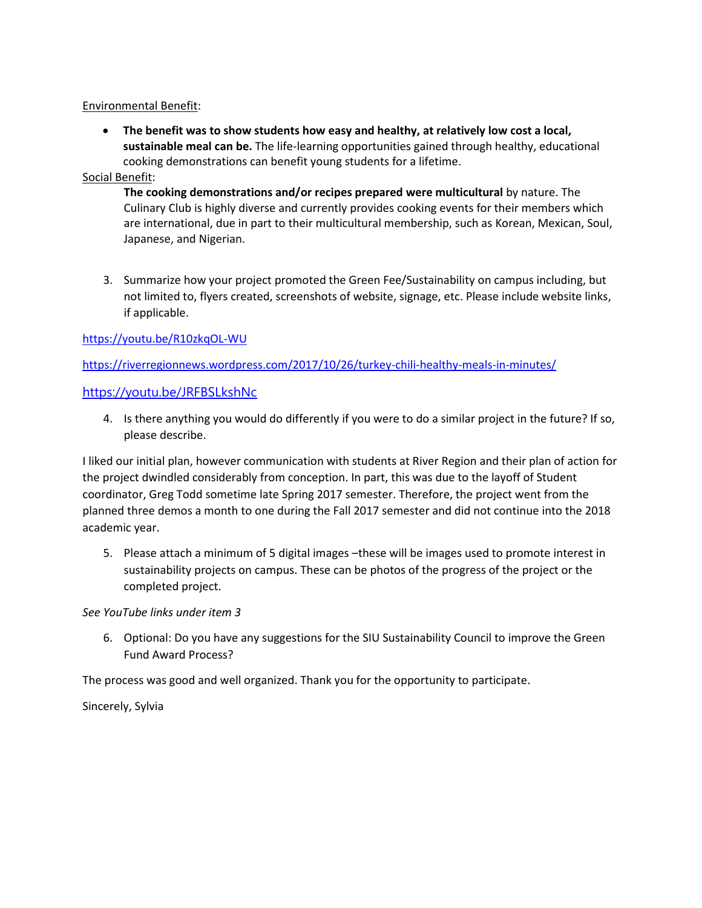#### Environmental Benefit:

 **The benefit was to show students how easy and healthy, at relatively low cost a local, sustainable meal can be.** The life-learning opportunities gained through healthy, educational cooking demonstrations can benefit young students for a lifetime.

### Social Benefit:

**The cooking demonstrations and/or recipes prepared were multicultural** by nature. The Culinary Club is highly diverse and currently provides cooking events for their members which are international, due in part to their multicultural membership, such as Korean, Mexican, Soul, Japanese, and Nigerian.

3. Summarize how your project promoted the Green Fee/Sustainability on campus including, but not limited to, flyers created, screenshots of website, signage, etc. Please include website links, if applicable.

## <https://youtu.be/R10zkqOL-WU>

<https://riverregionnews.wordpress.com/2017/10/26/turkey-chili-healthy-meals-in-minutes/>

#### <https://youtu.be/JRFBSLkshNc>

4. Is there anything you would do differently if you were to do a similar project in the future? If so, please describe.

I liked our initial plan, however communication with students at River Region and their plan of action for the project dwindled considerably from conception. In part, this was due to the layoff of Student coordinator, Greg Todd sometime late Spring 2017 semester. Therefore, the project went from the planned three demos a month to one during the Fall 2017 semester and did not continue into the 2018 academic year.

5. Please attach a minimum of 5 digital images –these will be images used to promote interest in sustainability projects on campus. These can be photos of the progress of the project or the completed project.

*See YouTube links under item 3*

6. Optional: Do you have any suggestions for the SIU Sustainability Council to improve the Green Fund Award Process?

The process was good and well organized. Thank you for the opportunity to participate.

Sincerely, Sylvia